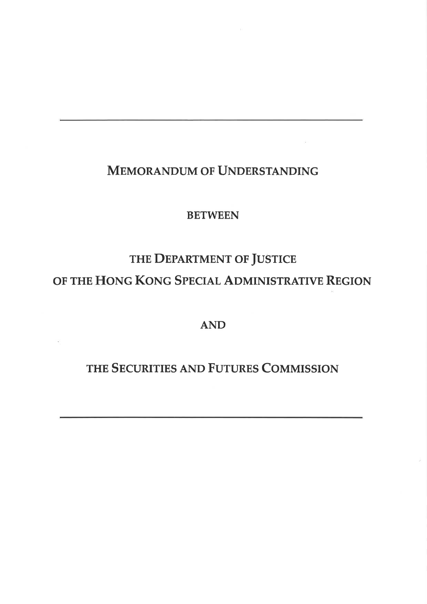## MEMORANDUM OF UNDERSTANDING

 $\tilde{\alpha}$ 

### **BETWEEN**

# THE DEPARTMENT OF JUSTICE OF THE HONG KONG SPECIAL ADMINISTRATIVE REGION

## AND

## THE SECURITIES AND FUTURES COMMISSION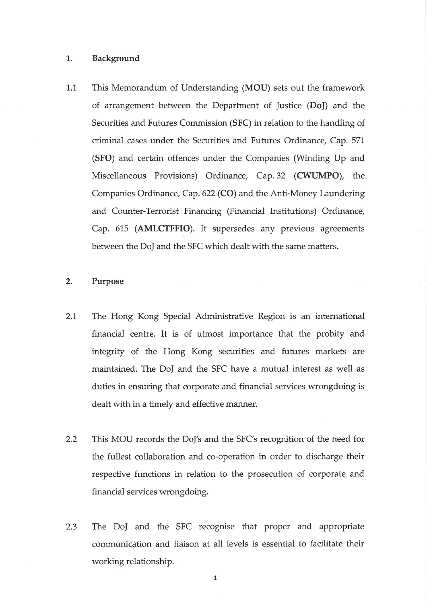#### 1,. Background

1.1 This Memorandum of Understanding (MOU) sets out the framework of arrangement between the Department of Justice (DoJ) and the Securities and Futures Commission (SFC) in relation to the handling of criminal cases under the Securities and Futures Ordinance, Cap. 571, (SFO) and certain offences under the Companies (Winding Up and Miscellaneous Provisions) Ordinance, Cap.32 (CWUMPO), the Companies Ordinance, Cap. 622 (CO) and the Anti-Money Laundering and Counter-Terrorist Financing (Financial Institutions) Ordinance, Cap. 615 (AMLCTFFIO). It supersedes any previous agreements between the DoJ and the SFC which dealt with the same matters.

#### 2. Purpose

- 2.1 The Hong Kong Special Administrative Region is an international financial centre. It is of utmost importance that the probity and integrity of the Hong Kong securities and futures markets are maintained. The DoJ and the SFC have a mutual interest as well as duties in ensuring that corporate and financial services wrongdoing is dealt with in a timely and effective manner.
- 2.2 This MOU records the DoJ's and the SFC's recognition of the need for the fullest collaboration and co-operation in order to discharge their respective functions in relation to the prosecution of corporate and financial services wrongdoing.
- The DoJ and the SFC recognise that proper and appropriate communication and liaison at all levels is essential to facilitate their working relationship. 2.3

t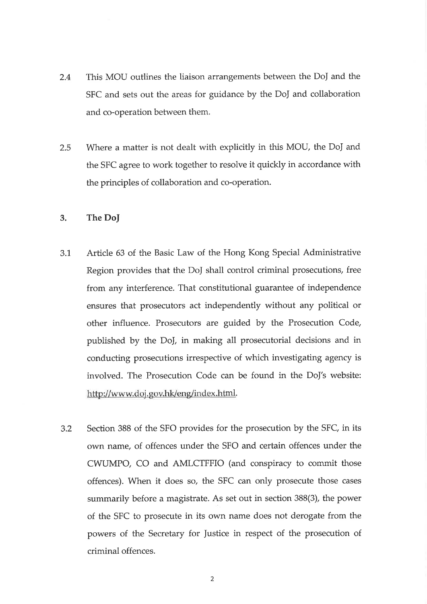- 2.4 This MOU outlines the liaison arrangements between the DoJ and the SFC and sets out the areas for guidance by the DoJ and collaboration and co-operation between them.
- 2.5 Where a matter is not dealt with explicitly in this MOU, the Doj and the SFC agree to work together to resolve it quickly in accordance with the principles of collaboration and co-operation.

#### 3. The DoJ

- 3.1 Article 63 of the Basic Law of the Hong Kong Special Administrative Region provides that the DoJ shall control criminal prosecutions, free from any interference. That constitutional guarantee of independence ensures that prosecutors act independently without any political or other influence. Prosecutors are guided by the Prosecution Code, published by the Do], in making all prosecutorial decisions and in conducting prosecutions irrespective of which investigating agency is involved. The Prosecution Code can be found in the DoJ's website: http://www.doj.gov.hk/eng/index.html.
- 3.2 Section 388 of the SFO provides for the prosecution by the SFC, in its own name, of offences under the SFO and certain offences under the CWUMPO, CO and AMLCTFFIO (and conspiracy to commit those offences). When it does so, the SFC can only prosecute those cases summarily before a magistrate. As set out in section 388(3), the power of the SFC to prosecute in its own name does not derogate from the powers of the Secretary for Justice in respect of the prosecution of criminal offences.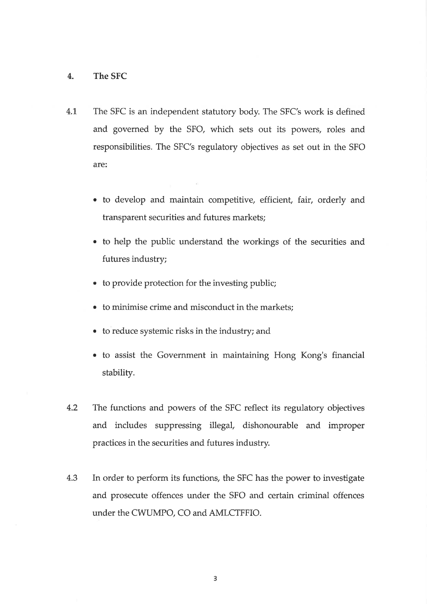#### 4. The SFC

- 4.1 The SFC is an independent statutory body. The SFC's work is defined and governed by the SFO, which sets out its powers, roles and responsibilities. The SFC's regulatory objectives as set out in the SFO are
	- to develop and maintain competitive, efficient, fair, orderly and transparent securities and futures markets;
	- o to help the public understand the workings of the securities and futures industry;
	- . to provide protection for the investing public;
	- $\bullet\;$  to minimise crime and misconduct in the markets;
	- o to reduce systemic risks in the industry; and
	- to assist the Government in maintaining Hong Kong's financial stability.
- 4.2 The functions and powers of the SFC reflect its regulatory objectives and includes suppressing illegal, dishonourable and improper practices in the securities and futures industry.
- 4.3 In order to perform its functions, the SFC has the power to investigate and prosecute offences under the SFO and certain criminal offences under the CWUMPO, CO and AMLCTFFIO.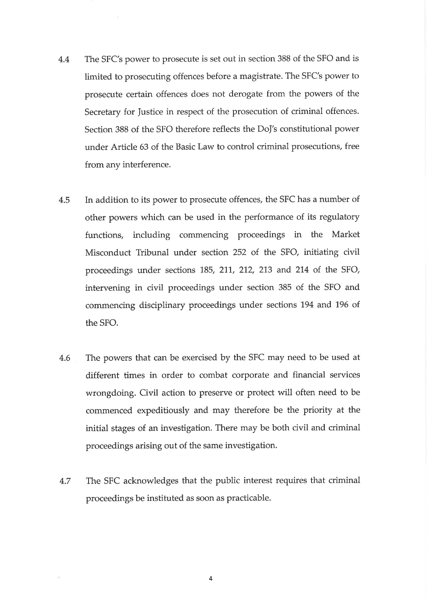- 4.4 The SFC's power to prosecute is set out in section 388 of the SFO and is limited to prosecuting offences before a magistrate. The SFC's power to prosecute certain offences does not derogate from the powers of the Secretary for Justice in respect of the prosecution of criminal offences. Section 388 of the SFO therefore reflects the DoJ's constitutional power under Article 63 of the Basic Law to control criminal prosecutions, free from any interference.
- 4.5 In addition to its power to prosecute offences, the SFC has a number of other powers which can be used in the performance of its regulatory functions, including commencing proceedings in the Market Misconduct Tribunal under section 252 of the SFO, initiating civil proceedings under sections 185, 211, 212, 213 and 214 of the SFO, intervening in civil proceedings under section 385 of the SFO and commencing disciplinary proceedings under sections 194 and 196 of the SFO.
- 4.6 The powers that can be exercised by the SFC may need to be used at different times in order to combat corporate and financial services wrongdoing. Civil action to preserve or protect will often need to be commenced expeditiously and may therefore be the priority at the initial stages of an investigation. There may be both civil and criminal proceedings arising out of the same investigation.
- 4.7 The SFC acknowledges that the public interest requires that criminal proceedings be instituted as soon as practicable.

4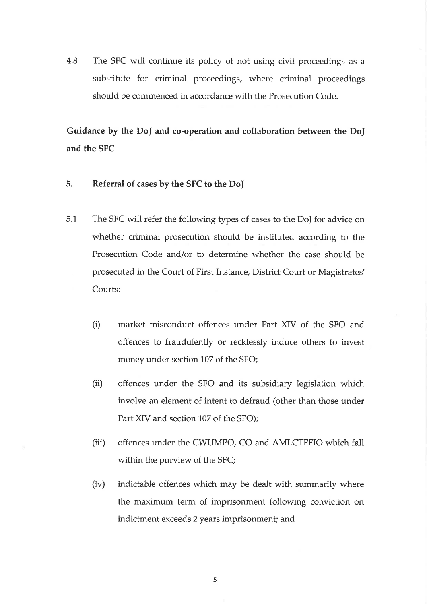4.8 The SFC will continue its policy of not using civil proceedings as <sup>a</sup> substitute for criminal proceedings, where criminal proceedings should be commenced in accordance with the Prosecution Code.

Guidance by the DoJ and co-operation and collaboration between the Do] and the SFC

- 5. Referral of cases by the SFC to the DoJ
- 5.1 The SFC will refer the following types of cases to the DoJ for advice on whether criminal prosecution should be instituted according to the Prosecution Code and/or to determine whether the case should be prosecuted in the Court of First Instance, District Court or Magistrates' Courts:
	- (i) market misconduct offences under Part XIV of the SFO and offences to fraudulently or recklessly induce others to invest money under section 107 of the SFO;
	- (ii) offences under the SFO and its subsidiary legislation which involve an element of intent to defraud (other than those under Part XIV and section 107 of the SFO);
	- (iii) offences under the CWUMPO, CO and AMLCTFFIO which fall within the purview of the SFC;
	- (iv) indictable offences which may be dealt with summarily where the maximum term of imprisonment following conviction on indictment exceeds 2 years imprisonment; and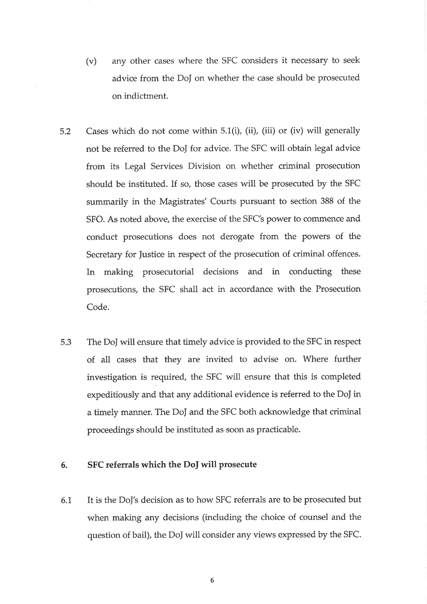- (v) any other cases where the SFC considers it necessary to seek advice from the Do] on whether the case should be prosecuted on indictment.
- 5.2 Cases which do not come within 5.1(i), (ii), (iii) or (iv) will generally not be referred to the DoJ for advice. The SFC will obtain legal advice from its Legal Services Division on whether criminal prosecution should be instituted. If so, those cases will be prosecuted by the SFC summarily in the Magistrates' Courts pursuant to section 388 of the SFO. As noted above, the exercise of the SFC's power to commence and conduct prosecutions does not derogate from the powers of the Secretary for Justice in respect of the prosecution of criminal offences. In making prosecutorial decisions and in conducting these prosecutions, the SFC shall act in accordance with the Prosecution Code.
- 5.3 The DoJ will ensure that timely advice is provided to the SFC in respect of all cases that they are invited to advise on. Where further investigation is required, the SFC will ensure that this is completed expeditiously and that any additional evidence is referred to the Do] in a timely manner. The DoJ and the SFC both acknowledge that criminal proceedings should be instituted as soon as practicable.

#### 6. SFC referrals which the Doj will prosecute

It is the DoJ's decision as to how SFC referrals are to be prosecuted but when making any decisions (including the choice of counsel and the question of bail), the DoJ will consider any views expressed by the SFC. 6.1

6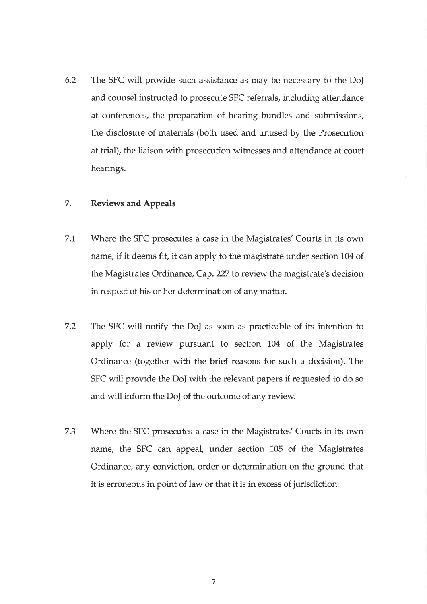6.2 The SFC will provide such assistance as may be necessary to the DoJ and counsel instructed to prosecute SFC referrals, including attendance at conferences, the preparation of hearing bundles and submissions, the disclosure of materials (both used and unused by the Prosecution at trial), the liaison with prosecution witnesses and attendance at court hearings.

#### 7. Reviews and Appeals

- 7.1. Where the SFC prosecutes a case in the Magistrates'Courts in its own name, if it deems fit, it can apply to the magistrate under section 104 of the Magistrates Ordinance, Cap. 227 to review the magistrate's decision in respect of his or her determination of any matter.
- 7.2 The SFC will notify the Do] as soon as practicable of its intention to apply for a review pursuant to section 104 of the Magistrates Ordinance (together with the brief reasons for such a decision). The SFC will provide the Do] with the relevant papers if requested to do so and will inform the Do] of the outcome of any review.
- 7.3 Where the SFC prosecutes a case in the Magistrates'Courts in its own name, the SFC can appeal, under section 105 of the Magistrates Ordinance, any conviction, order or determination on the ground that it is erroneous in point of law or that it is in excess of jurisdiction.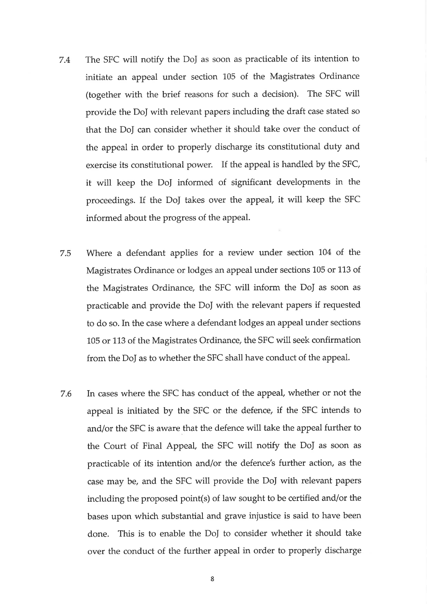- 7.4 The SFC will notify the DoJ as soon as practicable of its intention to initiate an appeal under section 105 of the Magistrates Ordinance (together with the brief reasons for such a decision). The SFC will provide the DoJ with relevant papers including the draft case stated so that the DoJ can consider whether it should take over the conduct of the appeal in order to properly discharge its constitutional duty and exercise its constitutional power. If the appeal is handled by the SFC, it will keep the DoJ informed of significant developments in the proceedings. If the DoJ takes over the appeal, it will keep the SFC informed about the progress of the appeal.
- 7.5 Where a defendant applies for a review under section 104 of the Magistrates Ordinance or lodges an appeal under sections 105 or 113 of the Magistrates Ordinance, the SFC will inform the DoJ as soon as practicable and provide the DoJ with the relevant papers if requested to do so. In the case where a defendant lodges an appeal under sections 105 or 113 of the Magistrates Ordinance, the SFC will seek confirmation from the DoJ as to whether the SFC shall have conduct of the appeal.
- In cases where the SFC has conduct of the appeal, whether or not the appeal is initiated by the SFC or the defence, if the SFC intends to and/or the SFC is aware that the defence will take the appeal further to the Court of Final Appeal, the SFC will notify the DoJ as soon as practicable of its intention and/or the defence's further action, as the case may be, and the SFC will provide the DoJ with relevant papers including the proposed point(s) of law sought to be certified and/or the bases upon which substantial and grave injustice is said to have been done. This is to enable the DoJ to consider whether it should take over the conduct of the further appeal in order to properly discharge 7.6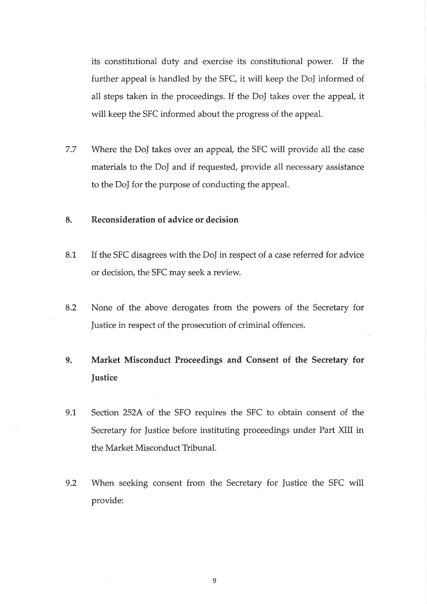its constitutional duty and exercise its constitutional power. If the further appeal is handled by the SFC, it will keep the DoJ informed of all steps taken in the proceedings. If the DoJ takes over the appeal, it will keep the SFC informed about the progress of the appeal.

7.7 Where the DoJ takes over an appeal, the SFC will provide all the case materials to the DoJ and if requested, provide all necessary assistance to the DoJ for the purpose of conducting the appeal.

#### 8. Reconsideration of advice or decision

- If the SFC disagrees with the DoJ in respect of a case referred for advice or decision, the SFC may seek a review. 8.1
- 8.2 None of the above derogates from the powers of the Secretary for ]ustice in respect of the prosecution of criminal offences.

#### 9. Market Misconduct Proceedings and Consent of the Secretary for **Justice**

- 9.1 Section 252A of the SFO requires the SFC to obtain consent of the Secretary for Justice before instituting proceedings under Part XIII in the Market Misconduct Tribunal.
- 9.2 When seeking consent from the Secretary for Justice the SFC will provide: